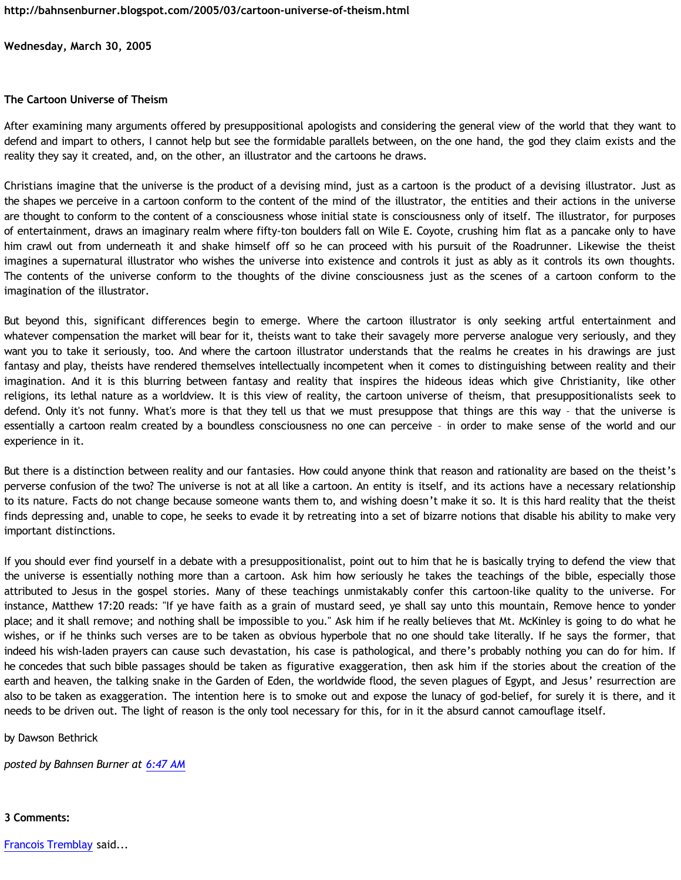**Wednesday, March 30, 2005**

## **The Cartoon Universe of Theism**

After examining many arguments offered by presuppositional apologists and considering the general view of the world that they want to defend and impart to others, I cannot help but see the formidable parallels between, on the one hand, the god they claim exists and the reality they say it created, and, on the other, an illustrator and the cartoons he draws.

Christians imagine that the universe is the product of a devising mind, just as a cartoon is the product of a devising illustrator. Just as the shapes we perceive in a cartoon conform to the content of the mind of the illustrator, the entities and their actions in the universe are thought to conform to the content of a consciousness whose initial state is consciousness only of itself. The illustrator, for purposes of entertainment, draws an imaginary realm where fifty-ton boulders fall on Wile E. Coyote, crushing him flat as a pancake only to have him crawl out from underneath it and shake himself off so he can proceed with his pursuit of the Roadrunner. Likewise the theist imagines a supernatural illustrator who wishes the universe into existence and controls it just as ably as it controls its own thoughts. The contents of the universe conform to the thoughts of the divine consciousness just as the scenes of a cartoon conform to the imagination of the illustrator.

But beyond this, significant differences begin to emerge. Where the cartoon illustrator is only seeking artful entertainment and whatever compensation the market will bear for it, theists want to take their savagely more perverse analogue very seriously, and they want you to take it seriously, too. And where the cartoon illustrator understands that the realms he creates in his drawings are just fantasy and play, theists have rendered themselves intellectually incompetent when it comes to distinguishing between reality and their imagination. And it is this blurring between fantasy and reality that inspires the hideous ideas which give Christianity, like other religions, its lethal nature as a worldview. It is this view of reality, the cartoon universe of theism, that presuppositionalists seek to defend. Only it's not funny. What's more is that they tell us that we must presuppose that things are this way – that the universe is essentially a cartoon realm created by a boundless consciousness no one can perceive – in order to make sense of the world and our experience in it.

But there is a distinction between reality and our fantasies. How could anyone think that reason and rationality are based on the theist's perverse confusion of the two? The universe is not at all like a cartoon. An entity is itself, and its actions have a necessary relationship to its nature. Facts do not change because someone wants them to, and wishing doesn't make it so. It is this hard reality that the theist finds depressing and, unable to cope, he seeks to evade it by retreating into a set of bizarre notions that disable his ability to make very important distinctions.

If you should ever find yourself in a debate with a presuppositionalist, point out to him that he is basically trying to defend the view that the universe is essentially nothing more than a cartoon. Ask him how seriously he takes the teachings of the bible, especially those attributed to Jesus in the gospel stories. Many of these teachings unmistakably confer this cartoon-like quality to the universe. For instance, Matthew 17:20 reads: "If ye have faith as a grain of mustard seed, ye shall say unto this mountain, Remove hence to yonder place; and it shall remove; and nothing shall be impossible to you." Ask him if he really believes that Mt. McKinley is going to do what he wishes, or if he thinks such verses are to be taken as obvious hyperbole that no one should take literally. If he says the former, that indeed his wish-laden prayers can cause such devastation, his case is pathological, and there's probably nothing you can do for him. If he concedes that such bible passages should be taken as figurative exaggeration, then ask him if the stories about the creation of the earth and heaven, the talking snake in the Garden of Eden, the worldwide flood, the seven plagues of Egypt, and Jesus' resurrection are also to be taken as exaggeration. The intention here is to smoke out and expose the lunacy of god-belief, for surely it is there, and it needs to be driven out. The light of reason is the only tool necessary for this, for in it the absurd cannot camouflage itself.

by Dawson Bethrick

*posted by Bahnsen Burner at [6:47 AM](http://bahnsenburner.blogspot.com/2005/03/cartoon-universe-of-theism.html)*

## **3 Comments:**

[Francois Tremblay](http://www.blogger.com/profile/7715861) said...